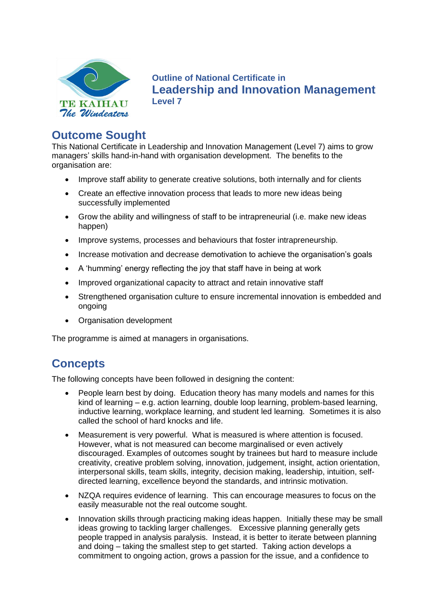

**Outline of National Certificate in Leadership and Innovation Management Level 7**

# **Outcome Sought**

This National Certificate in Leadership and Innovation Management (Level 7) aims to grow managers' skills hand-in-hand with organisation development. The benefits to the organisation are:

- Improve staff ability to generate creative solutions, both internally and for clients
- Create an effective innovation process that leads to more new ideas being successfully implemented
- Grow the ability and willingness of staff to be intrapreneurial (i.e. make new ideas happen)
- Improve systems, processes and behaviours that foster intrapreneurship.
- Increase motivation and decrease demotivation to achieve the organisation's goals
- A 'humming' energy reflecting the joy that staff have in being at work
- Improved organizational capacity to attract and retain innovative staff
- Strengthened organisation culture to ensure incremental innovation is embedded and ongoing
- Organisation development

The programme is aimed at managers in organisations.

## **Concepts**

The following concepts have been followed in designing the content:

- People learn best by doing. Education theory has many models and names for this kind of learning – e.g. action learning, double loop learning, problem-based learning, inductive learning, workplace learning, and student led learning. Sometimes it is also called the school of hard knocks and life.
- Measurement is very powerful. What is measured is where attention is focused. However, what is not measured can become marginalised or even actively discouraged. Examples of outcomes sought by trainees but hard to measure include creativity, creative problem solving, innovation, judgement, insight, action orientation, interpersonal skills, team skills, integrity, decision making, leadership, intuition, selfdirected learning, excellence beyond the standards, and intrinsic motivation.
- NZQA requires evidence of learning. This can encourage measures to focus on the easily measurable not the real outcome sought.
- Innovation skills through practicing making ideas happen. Initially these may be small ideas growing to tackling larger challenges. Excessive planning generally gets people trapped in analysis paralysis. Instead, it is better to iterate between planning and doing – taking the smallest step to get started. Taking action develops a commitment to ongoing action, grows a passion for the issue, and a confidence to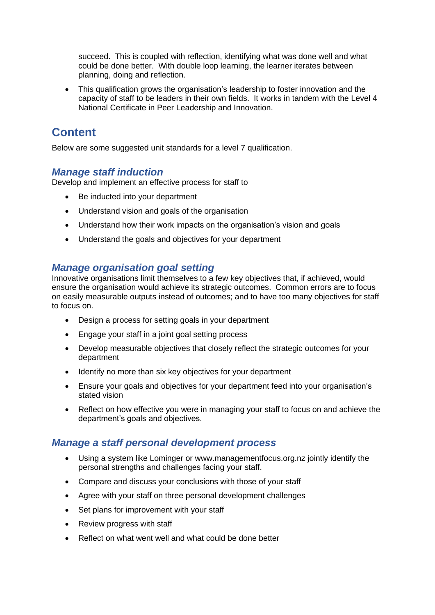succeed. This is coupled with reflection, identifying what was done well and what could be done better. With double loop learning, the learner iterates between planning, doing and reflection.

• This qualification grows the organisation's leadership to foster innovation and the capacity of staff to be leaders in their own fields. It works in tandem with the Level 4 National Certificate in Peer Leadership and Innovation.

# **Content**

Below are some suggested unit standards for a level 7 qualification.

### *Manage staff induction*

Develop and implement an effective process for staff to

- Be inducted into your department
- Understand vision and goals of the organisation
- Understand how their work impacts on the organisation's vision and goals
- Understand the goals and objectives for your department

### *Manage organisation goal setting*

Innovative organisations limit themselves to a few key objectives that, if achieved, would ensure the organisation would achieve its strategic outcomes. Common errors are to focus on easily measurable outputs instead of outcomes; and to have too many objectives for staff to focus on.

- Design a process for setting goals in your department
- Engage your staff in a joint goal setting process
- Develop measurable objectives that closely reflect the strategic outcomes for your department
- Identify no more than six key objectives for your department
- Ensure your goals and objectives for your department feed into your organisation's stated vision
- Reflect on how effective you were in managing your staff to focus on and achieve the department's goals and objectives.

### *Manage a staff personal development process*

- Using a system like Lominger or [www.managementfocus.org.nz](http://www.managementfocus.org.nz/) jointly identify the personal strengths and challenges facing your staff.
- Compare and discuss your conclusions with those of your staff
- Agree with your staff on three personal development challenges
- Set plans for improvement with your staff
- Review progress with staff
- Reflect on what went well and what could be done better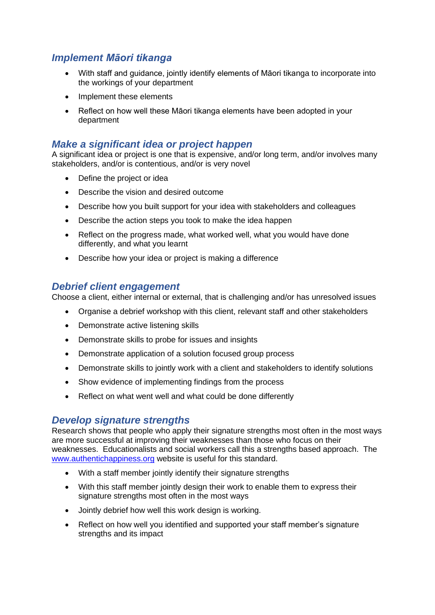### *Implement Māori tikanga*

- With staff and guidance, jointly identify elements of Māori tikanga to incorporate into the workings of your department
- Implement these elements
- Reflect on how well these Māori tikanga elements have been adopted in your department

#### *Make a significant idea or project happen*

A significant idea or project is one that is expensive, and/or long term, and/or involves many stakeholders, and/or is contentious, and/or is very novel

- Define the project or idea
- Describe the vision and desired outcome
- Describe how you built support for your idea with stakeholders and colleagues
- Describe the action steps you took to make the idea happen
- Reflect on the progress made, what worked well, what you would have done differently, and what you learnt
- Describe how your idea or project is making a difference

#### *Debrief client engagement*

Choose a client, either internal or external, that is challenging and/or has unresolved issues

- Organise a debrief workshop with this client, relevant staff and other stakeholders
- Demonstrate active listening skills
- Demonstrate skills to probe for issues and insights
- Demonstrate application of a solution focused group process
- Demonstrate skills to jointly work with a client and stakeholders to identify solutions
- Show evidence of implementing findings from the process
- Reflect on what went well and what could be done differently

#### *Develop signature strengths*

Research shows that people who apply their signature strengths most often in the most ways are more successful at improving their weaknesses than those who focus on their weaknesses. Educationalists and social workers call this a strengths based approach. The [www.authentichappiness.org](http://www.authentichappiness.org/) website is useful for this standard.

- With a staff member jointly identify their signature strengths
- With this staff member jointly design their work to enable them to express their signature strengths most often in the most ways
- Jointly debrief how well this work design is working.
- Reflect on how well you identified and supported your staff member's signature strengths and its impact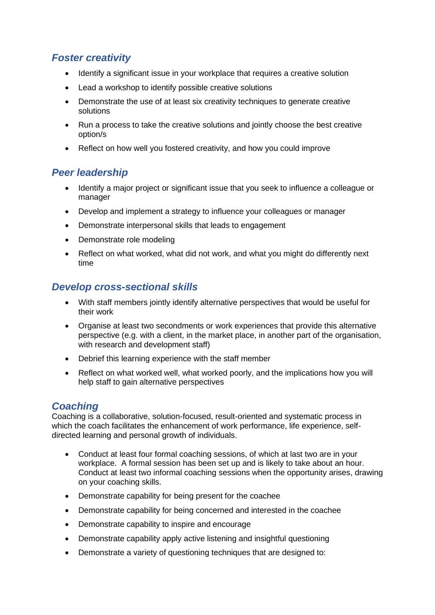## *Foster creativity*

- Identify a significant issue in your workplace that requires a creative solution
- Lead a workshop to identify possible creative solutions
- Demonstrate the use of at least six creativity techniques to generate creative solutions
- Run a process to take the creative solutions and jointly choose the best creative option/s
- Reflect on how well you fostered creativity, and how you could improve

### *Peer leadership*

- Identify a major project or significant issue that you seek to influence a colleague or manager
- Develop and implement a strategy to influence your colleagues or manager
- Demonstrate interpersonal skills that leads to engagement
- Demonstrate role modeling
- Reflect on what worked, what did not work, and what you might do differently next time

### *Develop cross-sectional skills*

- With staff members jointly identify alternative perspectives that would be useful for their work
- Organise at least two secondments or work experiences that provide this alternative perspective (e.g. with a client, in the market place, in another part of the organisation, with research and development staff)
- Debrief this learning experience with the staff member
- Reflect on what worked well, what worked poorly, and the implications how you will help staff to gain alternative perspectives

### *Coaching*

Coaching is a collaborative, solution-focused, result-oriented and systematic process in which the coach facilitates the enhancement of work performance, life experience, selfdirected learning and personal growth of individuals.

- Conduct at least four formal coaching sessions, of which at last two are in your workplace. A formal session has been set up and is likely to take about an hour. Conduct at least two informal coaching sessions when the opportunity arises, drawing on your coaching skills.
- Demonstrate capability for being present for the coachee
- Demonstrate capability for being concerned and interested in the coachee
- Demonstrate capability to inspire and encourage
- Demonstrate capability apply active listening and insightful questioning
- Demonstrate a variety of questioning techniques that are designed to: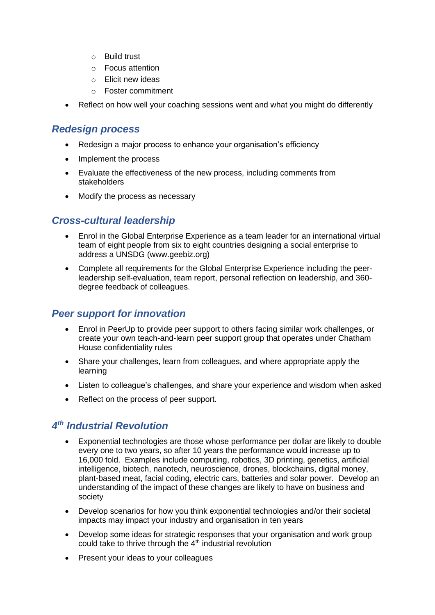- o Build trust
- o Focus attention
- o Elicit new ideas
- o Foster commitment
- Reflect on how well your coaching sessions went and what you might do differently

#### *Redesign process*

- Redesign a major process to enhance your organisation's efficiency
- Implement the process
- Evaluate the effectiveness of the new process, including comments from stakeholders
- Modify the process as necessary

### *Cross-cultural leadership*

- Enrol in the Global Enterprise Experience as a team leader for an international virtual team of eight people from six to eight countries designing a social enterprise to address a UNSDG (www.geebiz.org)
- Complete all requirements for the Global Enterprise Experience including the peerleadership self-evaluation, team report, personal reflection on leadership, and 360 degree feedback of colleagues.

### *Peer support for innovation*

- Enrol in PeerUp to provide peer support to others facing similar work challenges, or create your own teach-and-learn peer support group that operates under Chatham House confidentiality rules
- Share your challenges, learn from colleagues, and where appropriate apply the learning
- Listen to colleague's challenges, and share your experience and wisdom when asked
- Reflect on the process of peer support.

## *4 th Industrial Revolution*

- Exponential technologies are those whose performance per dollar are likely to double every one to two years, so after 10 years the performance would increase up to 16,000 fold. Examples include computing, robotics, 3D printing, genetics, artificial intelligence, biotech, nanotech, neuroscience, drones, blockchains, digital money, plant-based meat, facial coding, electric cars, batteries and solar power. Develop an understanding of the impact of these changes are likely to have on business and society
- Develop scenarios for how you think exponential technologies and/or their societal impacts may impact your industry and organisation in ten years
- Develop some ideas for strategic responses that your organisation and work group could take to thrive through the  $4<sup>th</sup>$  industrial revolution
- Present your ideas to your colleagues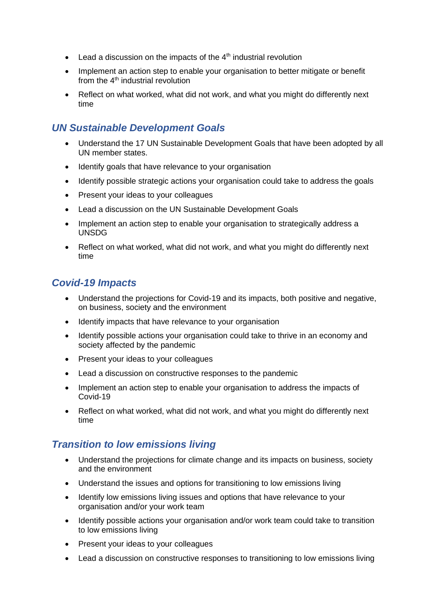- Lead a discussion on the impacts of the  $4<sup>th</sup>$  industrial revolution
- Implement an action step to enable your organisation to better mitigate or benefit from the  $4<sup>th</sup>$  industrial revolution
- Reflect on what worked, what did not work, and what you might do differently next time

### *UN Sustainable Development Goals*

- Understand the 17 UN Sustainable Development Goals that have been adopted by all UN member states.
- Identify goals that have relevance to your organisation
- Identify possible strategic actions your organisation could take to address the goals
- Present your ideas to your colleagues
- Lead a discussion on the UN Sustainable Development Goals
- Implement an action step to enable your organisation to strategically address a UNSDG
- Reflect on what worked, what did not work, and what you might do differently next time

### *Covid-19 Impacts*

- Understand the projections for Covid-19 and its impacts, both positive and negative, on business, society and the environment
- Identify impacts that have relevance to your organisation
- Identify possible actions your organisation could take to thrive in an economy and society affected by the pandemic
- Present your ideas to your colleagues
- Lead a discussion on constructive responses to the pandemic
- Implement an action step to enable your organisation to address the impacts of Covid-19
- Reflect on what worked, what did not work, and what you might do differently next time

### *Transition to low emissions living*

- Understand the projections for climate change and its impacts on business, society and the environment
- Understand the issues and options for transitioning to low emissions living
- Identify low emissions living issues and options that have relevance to your organisation and/or your work team
- Identify possible actions your organisation and/or work team could take to transition to low emissions living
- Present your ideas to your colleagues
- Lead a discussion on constructive responses to transitioning to low emissions living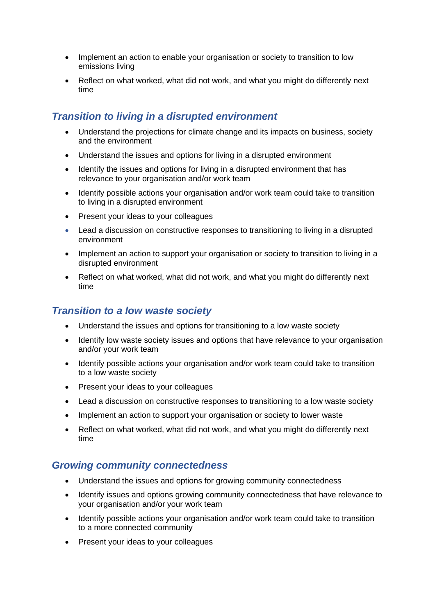- Implement an action to enable your organisation or society to transition to low emissions living
- Reflect on what worked, what did not work, and what you might do differently next time

### *Transition to living in a disrupted environment*

- Understand the projections for climate change and its impacts on business, society and the environment
- Understand the issues and options for living in a disrupted environment
- Identify the issues and options for living in a disrupted environment that has relevance to your organisation and/or work team
- Identify possible actions your organisation and/or work team could take to transition to living in a disrupted environment
- Present your ideas to your colleagues
- Lead a discussion on constructive responses to transitioning to living in a disrupted environment
- Implement an action to support your organisation or society to transition to living in a disrupted environment
- Reflect on what worked, what did not work, and what you might do differently next time

### *Transition to a low waste society*

- Understand the issues and options for transitioning to a low waste society
- Identify low waste society issues and options that have relevance to your organisation and/or your work team
- Identify possible actions your organisation and/or work team could take to transition to a low waste society
- Present your ideas to your colleagues
- Lead a discussion on constructive responses to transitioning to a low waste society
- Implement an action to support your organisation or society to lower waste
- Reflect on what worked, what did not work, and what you might do differently next time

### *Growing community connectedness*

- Understand the issues and options for growing community connectedness
- Identify issues and options growing community connectedness that have relevance to your organisation and/or your work team
- Identify possible actions your organisation and/or work team could take to transition to a more connected community
- Present your ideas to your colleagues